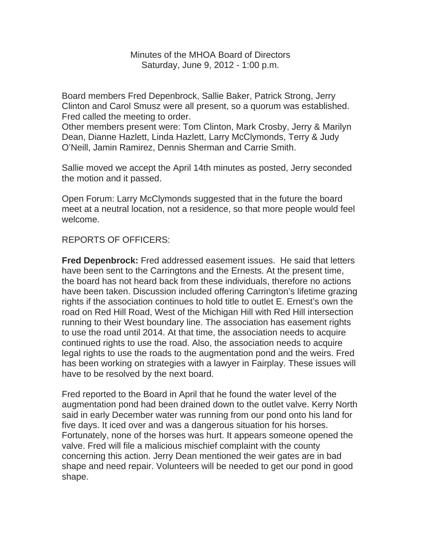Minutes of the MHOA Board of Directors Saturday, June 9, 2012 - 1:00 p.m.

Board members Fred Depenbrock, Sallie Baker, Patrick Strong, Jerry Clinton and Carol Smusz were all present, so a quorum was established. Fred called the meeting to order.

Other members present were: Tom Clinton, Mark Crosby, Jerry & Marilyn Dean, Dianne Hazlett, Linda Hazlett, Larry McClymonds, Terry & Judy O'Neill, Jamin Ramirez, Dennis Sherman and Carrie Smith.

Sallie moved we accept the April 14th minutes as posted, Jerry seconded the motion and it passed.

Open Forum: Larry McClymonds suggested that in the future the board meet at a neutral location, not a residence, so that more people would feel welcome.

## REPORTS OF OFFICERS:

**Fred Depenbrock:** Fred addressed easement issues. He said that letters have been sent to the Carringtons and the Ernests. At the present time, the board has not heard back from these individuals, therefore no actions have been taken. Discussion included offering Carrington's lifetime grazing rights if the association continues to hold title to outlet E. Ernest's own the road on Red Hill Road, West of the Michigan Hill with Red Hill intersection running to their West boundary line. The association has easement rights to use the road until 2014. At that time, the association needs to acquire continued rights to use the road. Also, the association needs to acquire legal rights to use the roads to the augmentation pond and the weirs. Fred has been working on strategies with a lawyer in Fairplay. These issues will have to be resolved by the next board.

Fred reported to the Board in April that he found the water level of the augmentation pond had been drained down to the outlet valve. Kerry North said in early December water was running from our pond onto his land for five days. It iced over and was a dangerous situation for his horses. Fortunately, none of the horses was hurt. It appears someone opened the valve. Fred will file a malicious mischief complaint with the county concerning this action. Jerry Dean mentioned the weir gates are in bad shape and need repair. Volunteers will be needed to get our pond in good shape.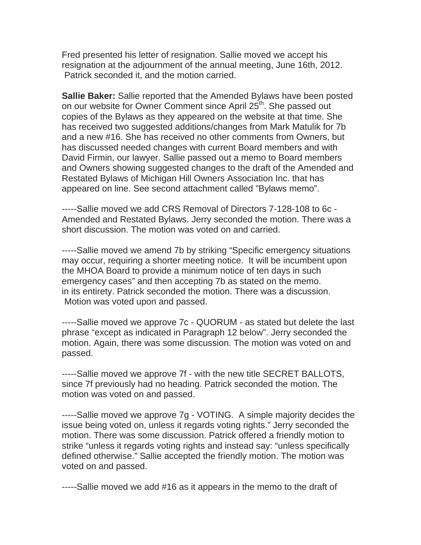Fred presented his letter of resignation. Sallie moved we accept his resignation at the adjournment of the annual meeting, June 16th, 2012. Patrick seconded it, and the motion carried.

**Sallie Baker:** Sallie reported that the Amended Bylaws have been posted on our website for Owner Comment since April 25<sup>th</sup>. She passed out copies of the Bylaws as they appeared on the website at that time. She has received two suggested additions/changes from Mark Matulik for 7b and a new #16. She has received no other comments from Owners, but has discussed needed changes with current Board members and with David Firmin, our lawyer. Sallie passed out a memo to Board members and Owners showing suggested changes to the draft of the Amended and Restated Bylaws of Michigan Hill Owners Association Inc. that has appeared on line. See second attachment called "Bylaws memo".

-----Sallie moved we add CRS Removal of Directors 7-128-108 to 6c - Amended and Restated Bylaws. Jerry seconded the motion. There was a short discussion. The motion was voted on and carried.

-----Sallie moved we amend 7b by striking "Specific emergency situations may occur, requiring a shorter meeting notice. It will be incumbent upon the MHOA Board to provide a minimum notice of ten days in such emergency cases" and then accepting 7b as stated on the memo. in its entirety. Patrick seconded the motion. There was a discussion. Motion was voted upon and passed.

-----Sallie moved we approve 7c - QUORUM - as stated but delete the last phrase "except as indicated in Paragraph 12 below". Jerry seconded the motion. Again, there was some discussion. The motion was voted on and passed.

-----Sallie moved we approve 7f - with the new title SECRET BALLOTS, since 7f previously had no heading. Patrick seconded the motion. The motion was voted on and passed.

-----Sallie moved we approve 7g - VOTING. A simple majority decides the issue being voted on, unless it regards voting rights." Jerry seconded the motion. There was some discussion. Patrick offered a friendly motion to strike "unless it regards voting rights and instead say: "unless specifically defined otherwise." Sallie accepted the friendly motion. The motion was voted on and passed.

-----Sallie moved we add #16 as it appears in the memo to the draft of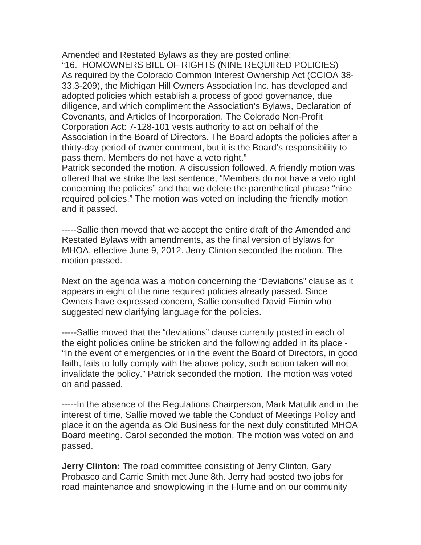Amended and Restated Bylaws as they are posted online: "16. HOMOWNERS BILL OF RIGHTS (NINE REQUIRED POLICIES) As required by the Colorado Common Interest Ownership Act (CCIOA 38- 33.3-209), the Michigan Hill Owners Association Inc. has developed and adopted policies which establish a process of good governance, due diligence, and which compliment the Association's Bylaws, Declaration of Covenants, and Articles of Incorporation. The Colorado Non-Profit Corporation Act: 7-128-101 vests authority to act on behalf of the Association in the Board of Directors. The Board adopts the policies after a thirty-day period of owner comment, but it is the Board's responsibility to pass them. Members do not have a veto right."

Patrick seconded the motion. A discussion followed. A friendly motion was offered that we strike the last sentence, "Members do not have a veto right concerning the policies" and that we delete the parenthetical phrase "nine required policies." The motion was voted on including the friendly motion and it passed.

-----Sallie then moved that we accept the entire draft of the Amended and Restated Bylaws with amendments, as the final version of Bylaws for MHOA, effective June 9, 2012. Jerry Clinton seconded the motion. The motion passed.

Next on the agenda was a motion concerning the "Deviations" clause as it appears in eight of the nine required policies already passed. Since Owners have expressed concern, Sallie consulted David Firmin who suggested new clarifying language for the policies.

-----Sallie moved that the "deviations" clause currently posted in each of the eight policies online be stricken and the following added in its place - "In the event of emergencies or in the event the Board of Directors, in good faith, fails to fully comply with the above policy, such action taken will not invalidate the policy." Patrick seconded the motion. The motion was voted on and passed.

-----In the absence of the Regulations Chairperson, Mark Matulik and in the interest of time, Sallie moved we table the Conduct of Meetings Policy and place it on the agenda as Old Business for the next duly constituted MHOA Board meeting. Carol seconded the motion. The motion was voted on and passed.

**Jerry Clinton:** The road committee consisting of Jerry Clinton, Gary Probasco and Carrie Smith met June 8th. Jerry had posted two jobs for road maintenance and snowplowing in the Flume and on our community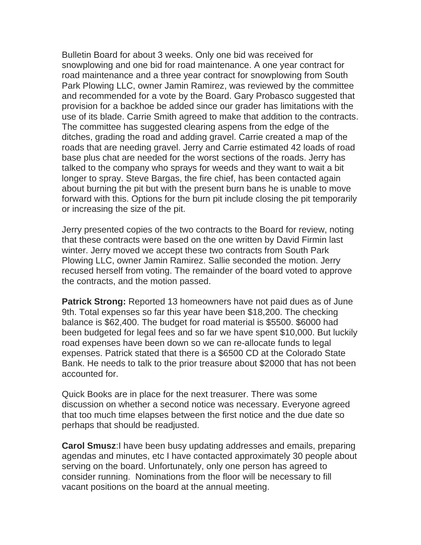Bulletin Board for about 3 weeks. Only one bid was received for snowplowing and one bid for road maintenance. A one year contract for road maintenance and a three year contract for snowplowing from South Park Plowing LLC, owner Jamin Ramirez, was reviewed by the committee and recommended for a vote by the Board. Gary Probasco suggested that provision for a backhoe be added since our grader has limitations with the use of its blade. Carrie Smith agreed to make that addition to the contracts. The committee has suggested clearing aspens from the edge of the ditches, grading the road and adding gravel. Carrie created a map of the roads that are needing gravel. Jerry and Carrie estimated 42 loads of road base plus chat are needed for the worst sections of the roads. Jerry has talked to the company who sprays for weeds and they want to wait a bit longer to spray. Steve Bargas, the fire chief, has been contacted again about burning the pit but with the present burn bans he is unable to move forward with this. Options for the burn pit include closing the pit temporarily or increasing the size of the pit.

Jerry presented copies of the two contracts to the Board for review, noting that these contracts were based on the one written by David Firmin last winter. Jerry moved we accept these two contracts from South Park Plowing LLC, owner Jamin Ramirez. Sallie seconded the motion. Jerry recused herself from voting. The remainder of the board voted to approve the contracts, and the motion passed.

**Patrick Strong:** Reported 13 homeowners have not paid dues as of June 9th. Total expenses so far this year have been \$18,200. The checking balance is \$62,400. The budget for road material is \$5500. \$6000 had been budgeted for legal fees and so far we have spent \$10,000. But luckily road expenses have been down so we can re-allocate funds to legal expenses. Patrick stated that there is a \$6500 CD at the Colorado State Bank. He needs to talk to the prior treasure about \$2000 that has not been accounted for.

Quick Books are in place for the next treasurer. There was some discussion on whether a second notice was necessary. Everyone agreed that too much time elapses between the first notice and the due date so perhaps that should be readjusted.

**Carol Smusz**:I have been busy updating addresses and emails, preparing agendas and minutes, etc I have contacted approximately 30 people about serving on the board. Unfortunately, only one person has agreed to consider running. Nominations from the floor will be necessary to fill vacant positions on the board at the annual meeting.